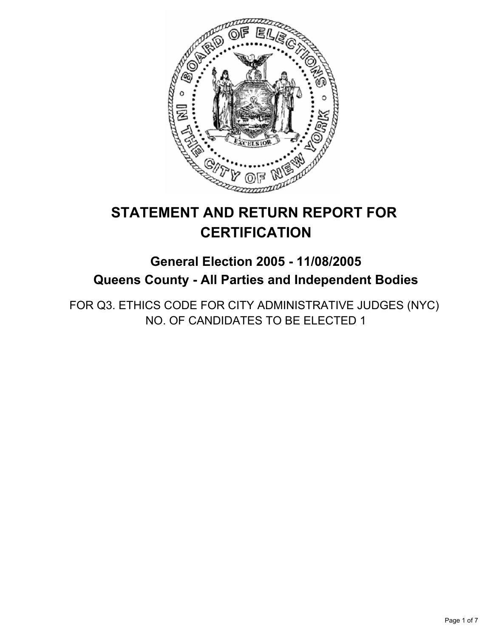

# **STATEMENT AND RETURN REPORT FOR CERTIFICATION**

## **General Election 2005 - 11/08/2005 Queens County - All Parties and Independent Bodies**

FOR Q3. ETHICS CODE FOR CITY ADMINISTRATIVE JUDGES (NYC) NO. OF CANDIDATES TO BE ELECTED 1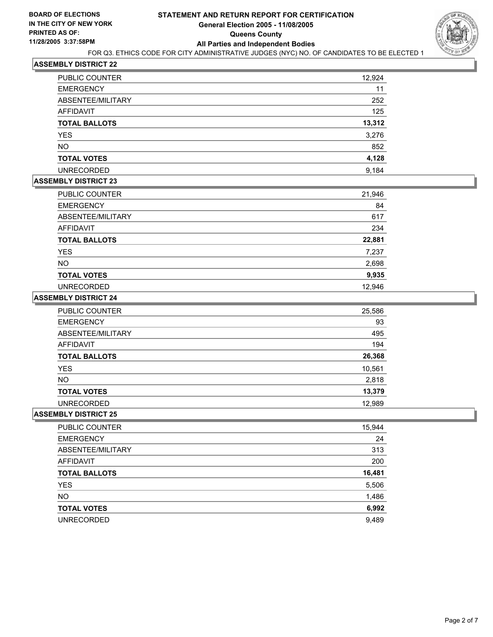

| <b>PUBLIC COUNTER</b> | 12,924 |  |
|-----------------------|--------|--|
| <b>EMERGENCY</b>      | 11     |  |
| ABSENTEE/MILITARY     | 252    |  |
| AFFIDAVIT             | 125    |  |
| <b>TOTAL BALLOTS</b>  | 13,312 |  |
| <b>YES</b>            | 3,276  |  |
| <b>NO</b>             | 852    |  |
| <b>TOTAL VOTES</b>    | 4,128  |  |
| <b>UNRECORDED</b>     | 9,184  |  |

## **ASSEMBLY DISTRICT 23**

| PUBLIC COUNTER       | 21,946 |
|----------------------|--------|
| <b>EMERGENCY</b>     | 84     |
| ABSENTEE/MILITARY    | 617    |
| AFFIDAVIT            | 234    |
| <b>TOTAL BALLOTS</b> | 22,881 |
| <b>YES</b>           | 7,237  |
| <b>NO</b>            | 2,698  |
| <b>TOTAL VOTES</b>   | 9,935  |
| <b>UNRECORDED</b>    | 12,946 |

#### **ASSEMBLY DISTRICT 24**

| <b>PUBLIC COUNTER</b> | 25,586 |
|-----------------------|--------|
| <b>EMERGENCY</b>      | 93     |
| ABSENTEE/MILITARY     | 495    |
| AFFIDAVIT             | 194    |
| <b>TOTAL BALLOTS</b>  | 26,368 |
| <b>YES</b>            | 10,561 |
| <b>NO</b>             | 2,818  |
| <b>TOTAL VOTES</b>    | 13,379 |
| <b>UNRECORDED</b>     | 12,989 |

| PUBLIC COUNTER       | 15,944 |
|----------------------|--------|
| <b>EMERGENCY</b>     | 24     |
| ABSENTEE/MILITARY    | 313    |
| AFFIDAVIT            | 200    |
| <b>TOTAL BALLOTS</b> | 16,481 |
| <b>YES</b>           | 5,506  |
| <b>NO</b>            | 1,486  |
| <b>TOTAL VOTES</b>   | 6,992  |
| <b>UNRECORDED</b>    | 9,489  |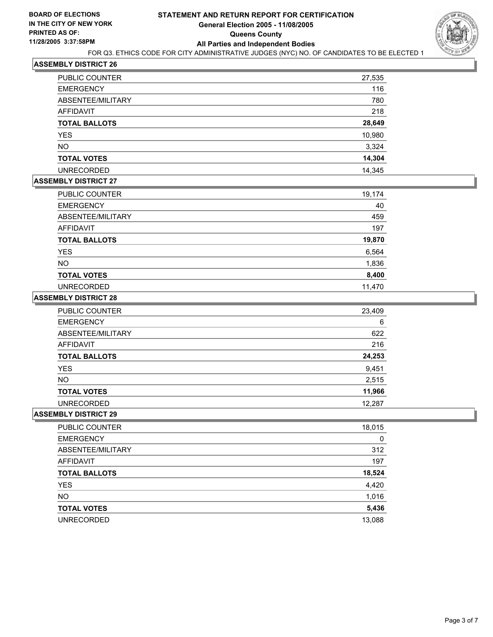

| <b>PUBLIC COUNTER</b> | 27,535 |
|-----------------------|--------|
| <b>EMERGENCY</b>      | 116    |
| ABSENTEE/MILITARY     | 780    |
| AFFIDAVIT             | 218    |
| <b>TOTAL BALLOTS</b>  | 28,649 |
| <b>YES</b>            | 10,980 |
| <b>NO</b>             | 3,324  |
| <b>TOTAL VOTES</b>    | 14,304 |
| <b>UNRECORDED</b>     | 14,345 |

## **ASSEMBLY DISTRICT 27**

| PUBLIC COUNTER       | 19,174 |
|----------------------|--------|
| <b>EMERGENCY</b>     | 40     |
| ABSENTEE/MILITARY    | 459    |
| AFFIDAVIT            | 197    |
| <b>TOTAL BALLOTS</b> | 19,870 |
| <b>YES</b>           | 6,564  |
| <b>NO</b>            | 1,836  |
| <b>TOTAL VOTES</b>   | 8,400  |
| <b>UNRECORDED</b>    | 11,470 |

#### **ASSEMBLY DISTRICT 28**

| <b>PUBLIC COUNTER</b> | 23,409 |
|-----------------------|--------|
| <b>EMERGENCY</b>      | 6      |
| ABSENTEE/MILITARY     | 622    |
| AFFIDAVIT             | 216    |
| <b>TOTAL BALLOTS</b>  | 24,253 |
| <b>YES</b>            | 9,451  |
| NO.                   | 2,515  |
| <b>TOTAL VOTES</b>    | 11,966 |
| <b>UNRECORDED</b>     | 12.287 |

| PUBLIC COUNTER       | 18,015 |
|----------------------|--------|
| <b>EMERGENCY</b>     | 0      |
| ABSENTEE/MILITARY    | 312    |
| AFFIDAVIT            | 197    |
| <b>TOTAL BALLOTS</b> | 18,524 |
| <b>YES</b>           | 4,420  |
| <b>NO</b>            | 1,016  |
| <b>TOTAL VOTES</b>   | 5,436  |
| <b>UNRECORDED</b>    | 13,088 |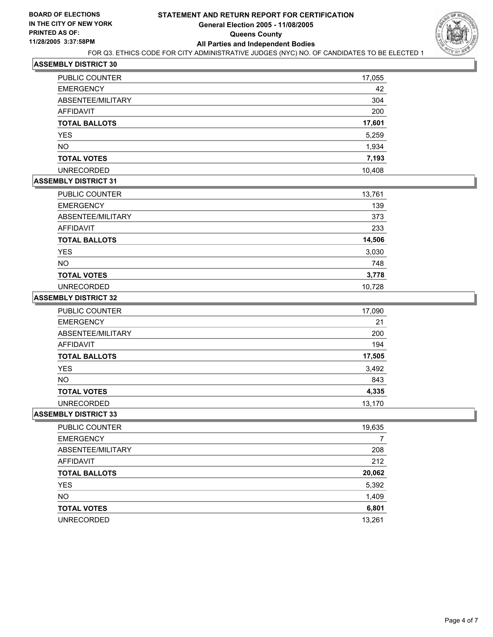

| PUBLIC COUNTER       | 17,055 |
|----------------------|--------|
| <b>EMERGENCY</b>     | 42     |
| ABSENTEE/MILITARY    | 304    |
| AFFIDAVIT            | 200    |
| <b>TOTAL BALLOTS</b> | 17,601 |
| <b>YES</b>           | 5,259  |
| <b>NO</b>            | 1,934  |
| <b>TOTAL VOTES</b>   | 7,193  |
| <b>UNRECORDED</b>    | 10.408 |

## **ASSEMBLY DISTRICT 31**

| PUBLIC COUNTER       | 13,761 |
|----------------------|--------|
| <b>EMERGENCY</b>     | 139    |
| ABSENTEE/MILITARY    | 373    |
| AFFIDAVIT            | 233    |
| <b>TOTAL BALLOTS</b> | 14,506 |
| <b>YES</b>           | 3,030  |
| <b>NO</b>            | 748    |
| <b>TOTAL VOTES</b>   | 3,778  |
| <b>UNRECORDED</b>    | 10,728 |

#### **ASSEMBLY DISTRICT 32**

| <b>PUBLIC COUNTER</b> | 17,090 |
|-----------------------|--------|
| <b>EMERGENCY</b>      | 21     |
| ABSENTEE/MILITARY     | 200    |
| AFFIDAVIT             | 194    |
| <b>TOTAL BALLOTS</b>  | 17,505 |
| <b>YES</b>            | 3,492  |
| <b>NO</b>             | 843    |
| <b>TOTAL VOTES</b>    | 4,335  |
| <b>UNRECORDED</b>     | 13,170 |

| PUBLIC COUNTER       | 19,635 |
|----------------------|--------|
| <b>EMERGENCY</b>     |        |
| ABSENTEE/MILITARY    | 208    |
| AFFIDAVIT            | 212    |
| <b>TOTAL BALLOTS</b> | 20,062 |
| <b>YES</b>           | 5,392  |
| <b>NO</b>            | 1,409  |
| <b>TOTAL VOTES</b>   | 6,801  |
| <b>UNRECORDED</b>    | 13,261 |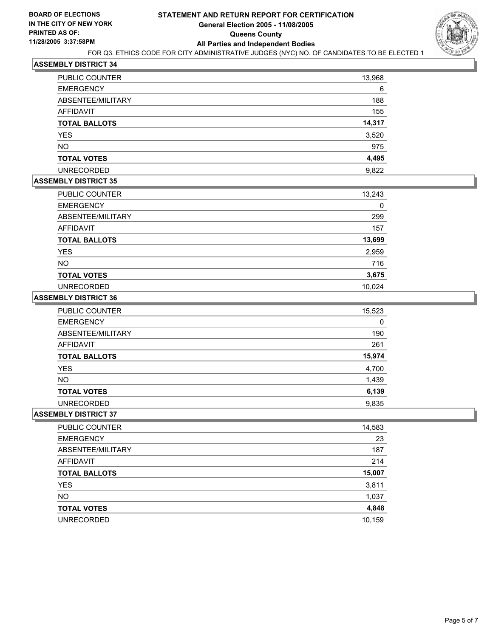

| <b>PUBLIC COUNTER</b> | 13,968 |
|-----------------------|--------|
| <b>EMERGENCY</b>      | 6      |
| ABSENTEE/MILITARY     | 188    |
| AFFIDAVIT             | 155    |
| <b>TOTAL BALLOTS</b>  | 14,317 |
| <b>YES</b>            | 3,520  |
| <b>NO</b>             | 975    |
| <b>TOTAL VOTES</b>    | 4,495  |
| <b>UNRECORDED</b>     | 9,822  |

## **ASSEMBLY DISTRICT 35**

| PUBLIC COUNTER       | 13,243 |
|----------------------|--------|
| <b>EMERGENCY</b>     |        |
| ABSENTEE/MILITARY    | 299    |
| AFFIDAVIT            | 157    |
| <b>TOTAL BALLOTS</b> | 13,699 |
| <b>YES</b>           | 2,959  |
| <b>NO</b>            | 716    |
| <b>TOTAL VOTES</b>   | 3,675  |
| <b>UNRECORDED</b>    | 10,024 |

#### **ASSEMBLY DISTRICT 36**

| <b>PUBLIC COUNTER</b> | 15,523 |
|-----------------------|--------|
| <b>EMERGENCY</b>      | 0      |
| ABSENTEE/MILITARY     | 190    |
| AFFIDAVIT             | 261    |
| <b>TOTAL BALLOTS</b>  | 15,974 |
| YES                   | 4,700  |
| <b>NO</b>             | 1,439  |
| <b>TOTAL VOTES</b>    | 6,139  |
| <b>UNRECORDED</b>     | 9,835  |

| PUBLIC COUNTER       | 14,583 |
|----------------------|--------|
| <b>EMERGENCY</b>     | 23     |
| ABSENTEE/MILITARY    | 187    |
| AFFIDAVIT            | 214    |
| <b>TOTAL BALLOTS</b> | 15,007 |
| <b>YES</b>           | 3,811  |
| <b>NO</b>            | 1,037  |
| <b>TOTAL VOTES</b>   | 4,848  |
| <b>UNRECORDED</b>    | 10,159 |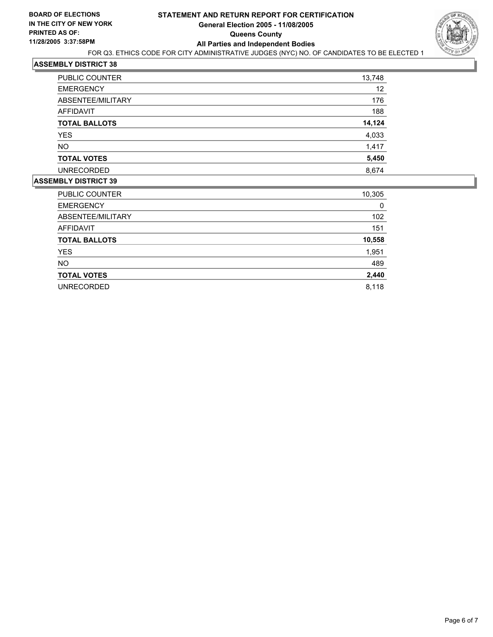

| <b>PUBLIC COUNTER</b> | 13,748 |
|-----------------------|--------|
| <b>EMERGENCY</b>      | 12     |
| ABSENTEE/MILITARY     | 176    |
| AFFIDAVIT             | 188    |
| <b>TOTAL BALLOTS</b>  | 14,124 |
| <b>YES</b>            | 4,033  |
| <b>NO</b>             | 1,417  |
| <b>TOTAL VOTES</b>    | 5,450  |
| <b>UNRECORDED</b>     | 8,674  |

| PUBLIC COUNTER       | 10,305 |
|----------------------|--------|
| <b>EMERGENCY</b>     | 0      |
| ABSENTEE/MILITARY    | 102    |
| <b>AFFIDAVIT</b>     | 151    |
| <b>TOTAL BALLOTS</b> | 10,558 |
| <b>YES</b>           | 1,951  |
| <b>NO</b>            | 489    |
| <b>TOTAL VOTES</b>   | 2,440  |
| <b>UNRECORDED</b>    | 8,118  |